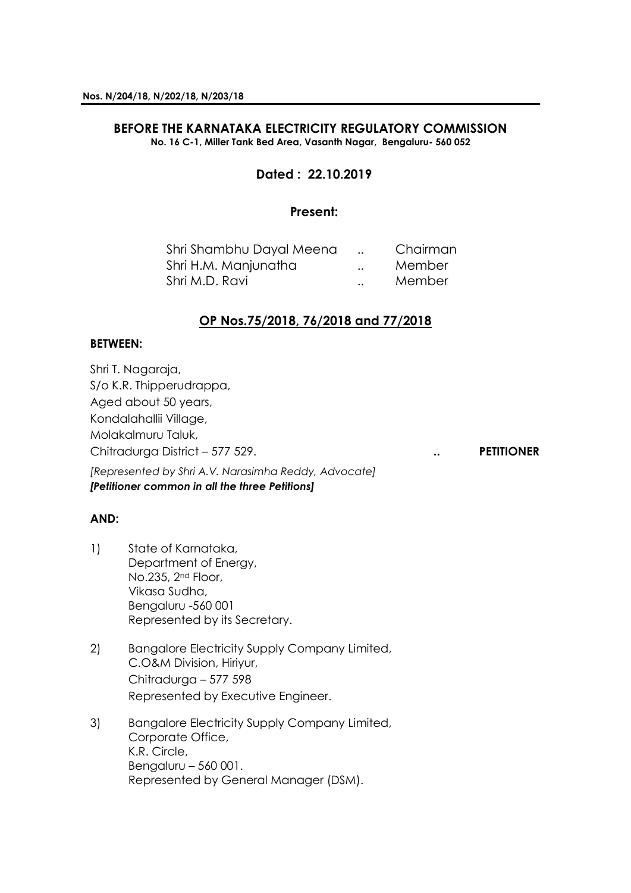#### **BEFORE THE KARNATAKA ELECTRICITY REGULATORY COMMISSION No. 16 C-1, Miller Tank Bed Area, Vasanth Nagar, Bengaluru- 560 052**

# **Dated : 22.10.2019**

### **Present:**

| Shri Shambhu Dayal Meena |                      | Chairman |
|--------------------------|----------------------|----------|
| Shri H.M. Manjunatha     | $\ddot{\phantom{0}}$ | Member   |
| Shri M.D. Ravi           |                      | Member   |

## **OP Nos.75/2018, 76/2018 and 77/2018**

### **BETWEEN:**

Shri T. Nagaraja, S/o K.R. Thipperudrappa, Aged about 50 years, Kondalahallii Village, Molakalmuru Taluk, Chitradurga District – 577 529. **.. PETITIONER**

*[Represented by Shri A.V. Narasimha Reddy, Advocate] [Petitioner common in all the three Petitions]*

## **AND:**

- 1) State of Karnataka, Department of Energy, No.235, 2nd Floor, Vikasa Sudha, Bengaluru -560 001 Represented by its Secretary.
- 2) Bangalore Electricity Supply Company Limited, C.O&M Division, Hiriyur, Chitradurga – 577 598 Represented by Executive Engineer.
- 3) Bangalore Electricity Supply Company Limited, Corporate Office, K.R. Circle, Bengaluru – 560 001. Represented by General Manager (DSM).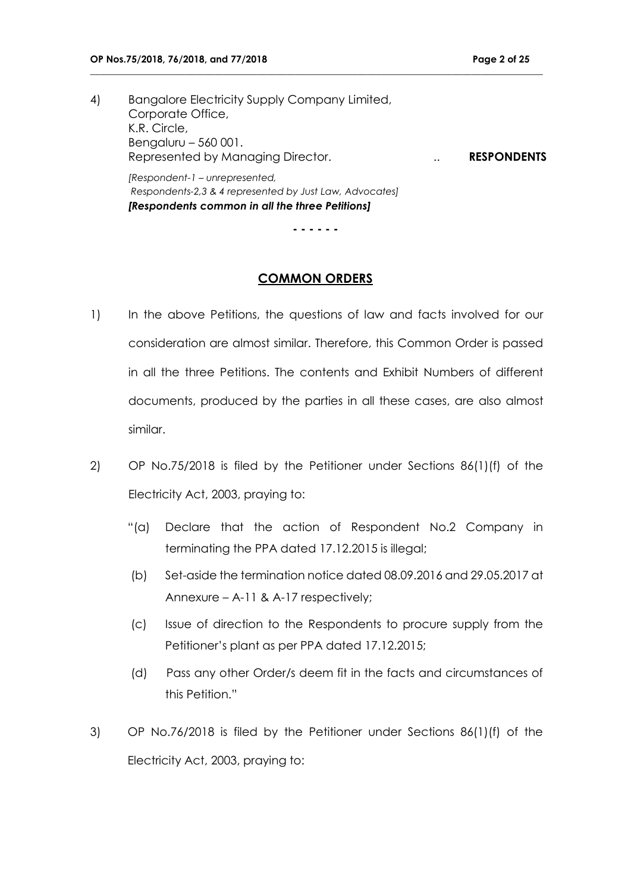4) Bangalore Electricity Supply Company Limited, Corporate Office, K.R. Circle, Bengaluru – 560 001. Represented by Managing Director. .. **RESPONDENTS** *[Respondent-1 – unrepresented,*

**\_\_\_\_\_\_\_\_\_\_\_\_\_\_\_\_\_\_\_\_\_\_\_\_\_\_\_\_\_\_\_\_\_\_\_\_\_\_\_\_\_\_\_\_\_\_\_\_\_\_\_\_\_\_\_\_\_\_\_\_\_\_\_\_\_\_\_\_\_\_\_\_\_\_\_\_\_\_\_\_\_\_\_\_\_\_\_\_\_\_\_\_\_\_\_**

*Respondents-2,3 & 4 represented by Just Law, Advocates] [Respondents common in all the three Petitions]*

**- - - - - -**

### **COMMON ORDERS**

- 1) In the above Petitions, the questions of law and facts involved for our consideration are almost similar. Therefore, this Common Order is passed in all the three Petitions. The contents and Exhibit Numbers of different documents, produced by the parties in all these cases, are also almost similar.
- 2) OP No.75/2018 is filed by the Petitioner under Sections 86(1)(f) of the Electricity Act, 2003, praying to:
	- "(a) Declare that the action of Respondent No.2 Company in terminating the PPA dated 17.12.2015 is illegal;
	- (b) Set-aside the termination notice dated 08.09.2016 and 29.05.2017 at Annexure – A-11 & A-17 respectively;
	- (c) Issue of direction to the Respondents to procure supply from the Petitioner's plant as per PPA dated 17.12.2015;
	- (d) Pass any other Order/s deem fit in the facts and circumstances of this Petition."
- 3) OP No.76/2018 is filed by the Petitioner under Sections 86(1)(f) of the Electricity Act, 2003, praying to: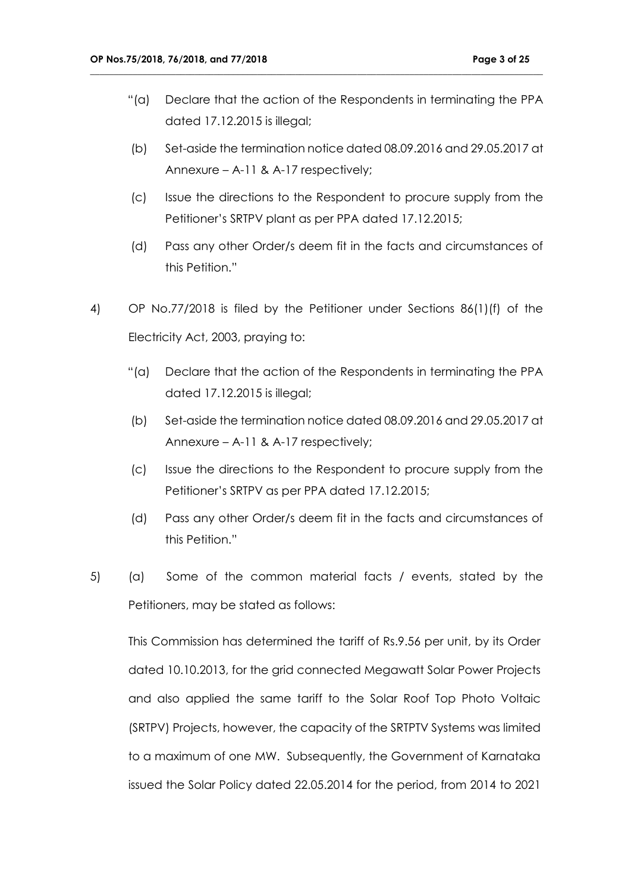"(a) Declare that the action of the Respondents in terminating the PPA dated 17.12.2015 is illegal;

**\_\_\_\_\_\_\_\_\_\_\_\_\_\_\_\_\_\_\_\_\_\_\_\_\_\_\_\_\_\_\_\_\_\_\_\_\_\_\_\_\_\_\_\_\_\_\_\_\_\_\_\_\_\_\_\_\_\_\_\_\_\_\_\_\_\_\_\_\_\_\_\_\_\_\_\_\_\_\_\_\_\_\_\_\_\_\_\_\_\_\_\_\_\_\_**

- (b) Set-aside the termination notice dated 08.09.2016 and 29.05.2017 at Annexure – A-11 & A-17 respectively;
- (c) Issue the directions to the Respondent to procure supply from the Petitioner's SRTPV plant as per PPA dated 17.12.2015;
- (d) Pass any other Order/s deem fit in the facts and circumstances of this Petition."
- 4) OP No.77/2018 is filed by the Petitioner under Sections 86(1)(f) of the Electricity Act, 2003, praying to:
	- "(a) Declare that the action of the Respondents in terminating the PPA dated 17.12.2015 is illegal;
	- (b) Set-aside the termination notice dated 08.09.2016 and 29.05.2017 at Annexure – A-11 & A-17 respectively;
	- (c) Issue the directions to the Respondent to procure supply from the Petitioner's SRTPV as per PPA dated 17.12.2015;
	- (d) Pass any other Order/s deem fit in the facts and circumstances of this Petition."
- 5) (a) Some of the common material facts / events, stated by the Petitioners, may be stated as follows:

This Commission has determined the tariff of Rs.9.56 per unit, by its Order dated 10.10.2013, for the grid connected Megawatt Solar Power Projects and also applied the same tariff to the Solar Roof Top Photo Voltaic (SRTPV) Projects, however, the capacity of the SRTPTV Systems was limited to a maximum of one MW. Subsequently, the Government of Karnataka issued the Solar Policy dated 22.05.2014 for the period, from 2014 to 2021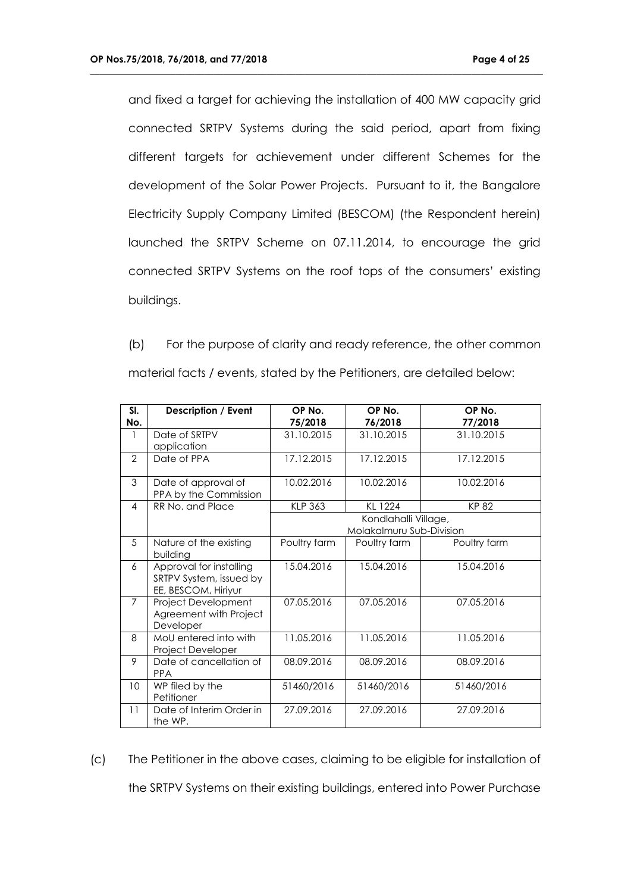and fixed a target for achieving the installation of 400 MW capacity grid connected SRTPV Systems during the said period, apart from fixing different targets for achievement under different Schemes for the development of the Solar Power Projects. Pursuant to it, the Bangalore Electricity Supply Company Limited (BESCOM) (the Respondent herein) launched the SRTPV Scheme on 07.11.2014, to encourage the grid connected SRTPV Systems on the roof tops of the consumers' existing buildings.

**\_\_\_\_\_\_\_\_\_\_\_\_\_\_\_\_\_\_\_\_\_\_\_\_\_\_\_\_\_\_\_\_\_\_\_\_\_\_\_\_\_\_\_\_\_\_\_\_\_\_\_\_\_\_\_\_\_\_\_\_\_\_\_\_\_\_\_\_\_\_\_\_\_\_\_\_\_\_\_\_\_\_\_\_\_\_\_\_\_\_\_\_\_\_\_**

(b) For the purpose of clarity and ready reference, the other common material facts / events, stated by the Petitioners, are detailed below:

| SI.<br>No.     | <b>Description / Event</b>                                                | OP No.<br>75/2018                                | OP No.<br>76/2018 | OP No.<br>77/2018 |
|----------------|---------------------------------------------------------------------------|--------------------------------------------------|-------------------|-------------------|
| 1              | Date of SRTPV<br>application                                              | 31.10.2015                                       | 31.10.2015        | 31.10.2015        |
| $\mathcal{P}$  | Date of PPA                                                               | 17.12.2015                                       | 17.12.2015        | 17.12.2015        |
| 3              | Date of approval of<br>PPA by the Commission                              | 10.02.2016                                       | 10.02.2016        | 10.02.2016        |
| 4              | RR No. and Place                                                          | <b>KLP 363</b>                                   | KL 1224           | KP 82             |
|                |                                                                           | Kondlahalli Village,<br>Molakalmuru Sub-Division |                   |                   |
| 5              | Nature of the existing<br>building                                        | Poultry farm                                     | Poultry farm      | Poultry farm      |
| 6              | Approval for installing<br>SRTPV System, issued by<br>EE, BESCOM, Hiriyur | 15.04.2016                                       | 15.04.2016        | 15.04.2016        |
| $\overline{7}$ | Project Development<br>Agreement with Project<br>Developer                | 07.05.2016                                       | 07.05.2016        | 07.05.2016        |
| 8              | MoU entered into with<br>Project Developer                                | 11.05.2016                                       | 11.05.2016        | 11.05.2016        |
| 9              | Date of cancellation of<br><b>PPA</b>                                     | 08.09.2016                                       | 08.09.2016        | 08.09.2016        |
| 10             | WP filed by the<br>Petitioner                                             | 51460/2016                                       | 51460/2016        | 51460/2016        |
| 11             | Date of Interim Order in<br>the WP.                                       | 27.09.2016                                       | 27.09.2016        | 27.09.2016        |

(c) The Petitioner in the above cases, claiming to be eligible for installation of the SRTPV Systems on their existing buildings, entered into Power Purchase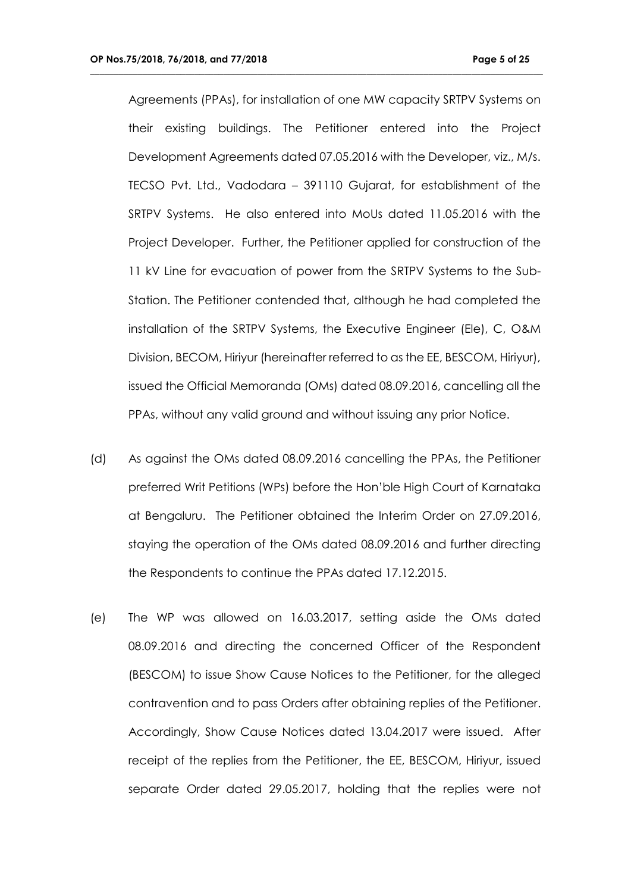Agreements (PPAs), for installation of one MW capacity SRTPV Systems on their existing buildings. The Petitioner entered into the Project Development Agreements dated 07.05.2016 with the Developer, viz., M/s. TECSO Pvt. Ltd., Vadodara – 391110 Gujarat, for establishment of the SRTPV Systems. He also entered into MoUs dated 11.05.2016 with the Project Developer. Further, the Petitioner applied for construction of the 11 kV Line for evacuation of power from the SRTPV Systems to the Sub-Station. The Petitioner contended that, although he had completed the installation of the SRTPV Systems, the Executive Engineer (Ele), C, O&M Division, BECOM, Hiriyur (hereinafter referred to as the EE, BESCOM, Hiriyur), issued the Official Memoranda (OMs) dated 08.09.2016, cancelling all the PPAs, without any valid ground and without issuing any prior Notice.

- (d) As against the OMs dated 08.09.2016 cancelling the PPAs, the Petitioner preferred Writ Petitions (WPs) before the Hon'ble High Court of Karnataka at Bengaluru. The Petitioner obtained the Interim Order on 27.09.2016, staying the operation of the OMs dated 08.09.2016 and further directing the Respondents to continue the PPAs dated 17.12.2015.
- (e) The WP was allowed on 16.03.2017, setting aside the OMs dated 08.09.2016 and directing the concerned Officer of the Respondent (BESCOM) to issue Show Cause Notices to the Petitioner, for the alleged contravention and to pass Orders after obtaining replies of the Petitioner. Accordingly, Show Cause Notices dated 13.04.2017 were issued. After receipt of the replies from the Petitioner, the EE, BESCOM, Hiriyur, issued separate Order dated 29.05.2017, holding that the replies were not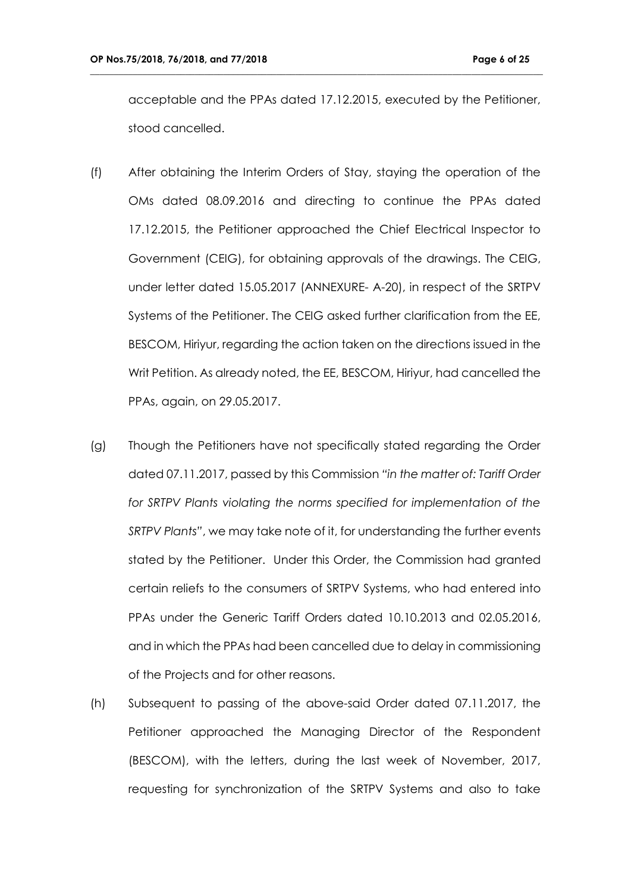acceptable and the PPAs dated 17.12.2015, executed by the Petitioner, stood cancelled.

- (f) After obtaining the Interim Orders of Stay, staying the operation of the OMs dated 08.09.2016 and directing to continue the PPAs dated 17.12.2015, the Petitioner approached the Chief Electrical Inspector to Government (CEIG), for obtaining approvals of the drawings. The CEIG, under letter dated 15.05.2017 (ANNEXURE- A-20), in respect of the SRTPV Systems of the Petitioner. The CEIG asked further clarification from the EE, BESCOM, Hiriyur, regarding the action taken on the directions issued in the Writ Petition. As already noted, the EE, BESCOM, Hiriyur, had cancelled the PPAs, again, on 29.05.2017.
- (g) Though the Petitioners have not specifically stated regarding the Order dated 07.11.2017, passed by this Commission *"in the matter of: Tariff Order*  for SRTPV Plants violating the norms specified for implementation of the *SRTPV Plants"*, we may take note of it, for understanding the further events stated by the Petitioner. Under this Order, the Commission had granted certain reliefs to the consumers of SRTPV Systems, who had entered into PPAs under the Generic Tariff Orders dated 10.10.2013 and 02.05.2016, and in which the PPAs had been cancelled due to delay in commissioning of the Projects and for other reasons.
- (h) Subsequent to passing of the above-said Order dated 07.11.2017, the Petitioner approached the Managing Director of the Respondent (BESCOM), with the letters, during the last week of November, 2017, requesting for synchronization of the SRTPV Systems and also to take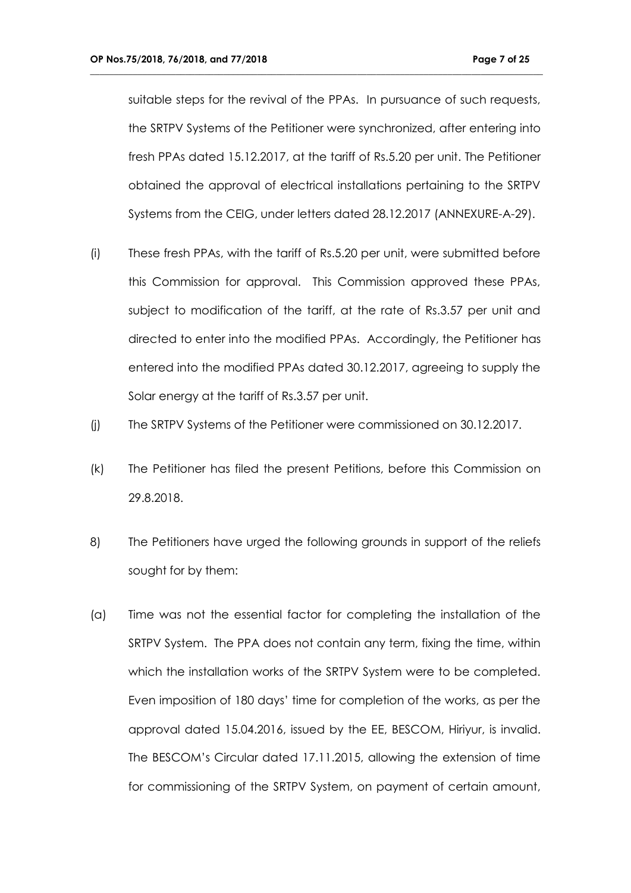suitable steps for the revival of the PPAs. In pursuance of such requests, the SRTPV Systems of the Petitioner were synchronized, after entering into fresh PPAs dated 15.12.2017, at the tariff of Rs.5.20 per unit. The Petitioner obtained the approval of electrical installations pertaining to the SRTPV Systems from the CEIG, under letters dated 28.12.2017 (ANNEXURE-A-29).

- (i) These fresh PPAs, with the tariff of Rs.5.20 per unit, were submitted before this Commission for approval. This Commission approved these PPAs, subject to modification of the tariff, at the rate of Rs.3.57 per unit and directed to enter into the modified PPAs. Accordingly, the Petitioner has entered into the modified PPAs dated 30.12.2017, agreeing to supply the Solar energy at the tariff of Rs.3.57 per unit.
- (j) The SRTPV Systems of the Petitioner were commissioned on 30.12.2017.
- (k) The Petitioner has filed the present Petitions, before this Commission on 29.8.2018.
- 8) The Petitioners have urged the following grounds in support of the reliefs sought for by them:
- (a) Time was not the essential factor for completing the installation of the SRTPV System. The PPA does not contain any term, fixing the time, within which the installation works of the SRTPV System were to be completed. Even imposition of 180 days' time for completion of the works, as per the approval dated 15.04.2016, issued by the EE, BESCOM, Hiriyur, is invalid. The BESCOM's Circular dated 17.11.2015, allowing the extension of time for commissioning of the SRTPV System, on payment of certain amount,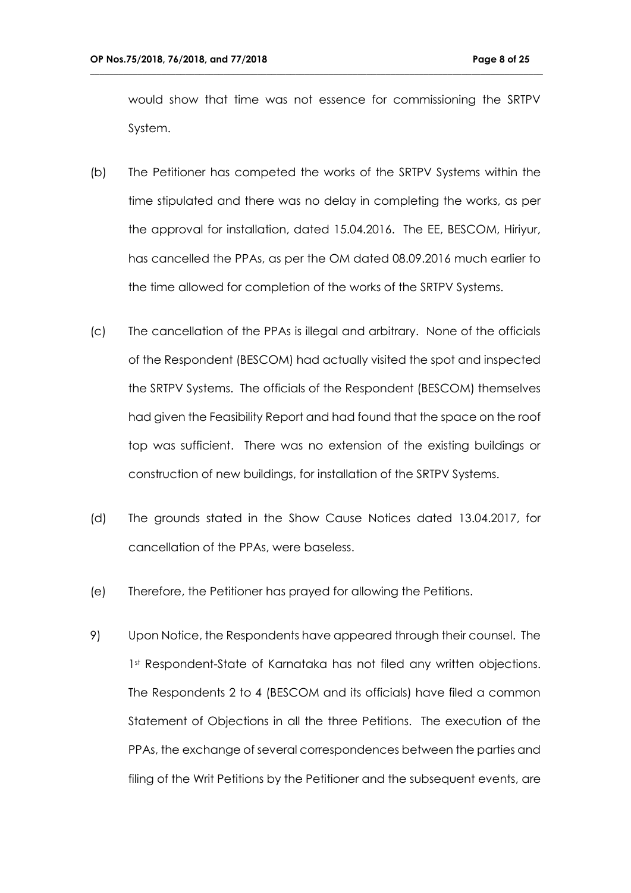would show that time was not essence for commissioning the SRTPV System.

- (b) The Petitioner has competed the works of the SRTPV Systems within the time stipulated and there was no delay in completing the works, as per the approval for installation, dated 15.04.2016. The EE, BESCOM, Hiriyur, has cancelled the PPAs, as per the OM dated 08.09.2016 much earlier to the time allowed for completion of the works of the SRTPV Systems.
- (c) The cancellation of the PPAs is illegal and arbitrary. None of the officials of the Respondent (BESCOM) had actually visited the spot and inspected the SRTPV Systems. The officials of the Respondent (BESCOM) themselves had given the Feasibility Report and had found that the space on the roof top was sufficient. There was no extension of the existing buildings or construction of new buildings, for installation of the SRTPV Systems.
- (d) The grounds stated in the Show Cause Notices dated 13.04.2017, for cancellation of the PPAs, were baseless.
- (e) Therefore, the Petitioner has prayed for allowing the Petitions.
- 9) Upon Notice, the Respondents have appeared through their counsel. The 1st Respondent-State of Karnataka has not filed any written objections. The Respondents 2 to 4 (BESCOM and its officials) have filed a common Statement of Objections in all the three Petitions. The execution of the PPAs, the exchange of several correspondences between the parties and filing of the Writ Petitions by the Petitioner and the subsequent events, are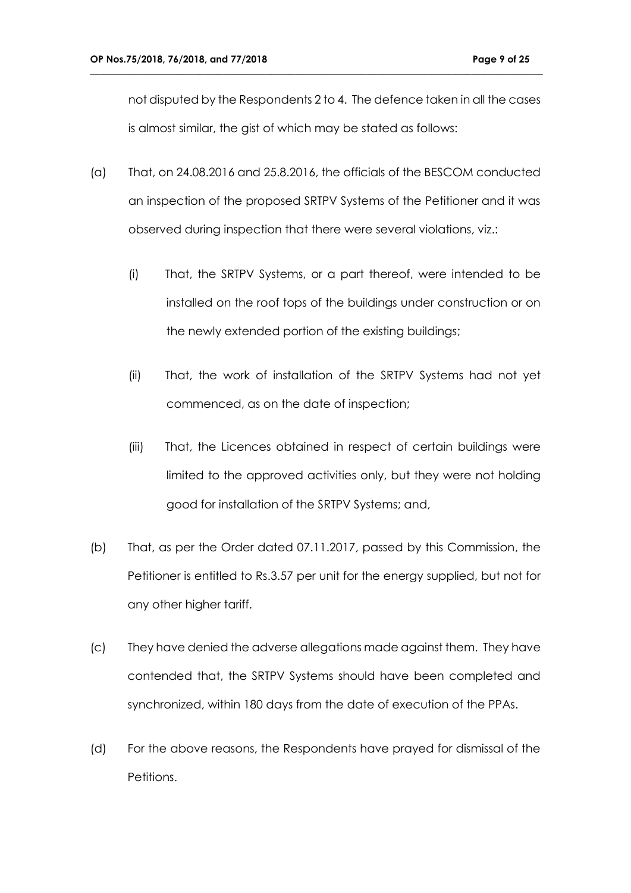not disputed by the Respondents 2 to 4. The defence taken in all the cases is almost similar, the gist of which may be stated as follows:

- (a) That, on 24.08.2016 and 25.8.2016, the officials of the BESCOM conducted an inspection of the proposed SRTPV Systems of the Petitioner and it was observed during inspection that there were several violations, viz.:
	- (i) That, the SRTPV Systems, or a part thereof, were intended to be installed on the roof tops of the buildings under construction or on the newly extended portion of the existing buildings;
	- (ii) That, the work of installation of the SRTPV Systems had not yet commenced, as on the date of inspection;
	- (iii) That, the Licences obtained in respect of certain buildings were limited to the approved activities only, but they were not holding good for installation of the SRTPV Systems; and,
- (b) That, as per the Order dated 07.11.2017, passed by this Commission, the Petitioner is entitled to Rs.3.57 per unit for the energy supplied, but not for any other higher tariff.
- (c) They have denied the adverse allegations made against them. They have contended that, the SRTPV Systems should have been completed and synchronized, within 180 days from the date of execution of the PPAs.
- (d) For the above reasons, the Respondents have prayed for dismissal of the Petitions.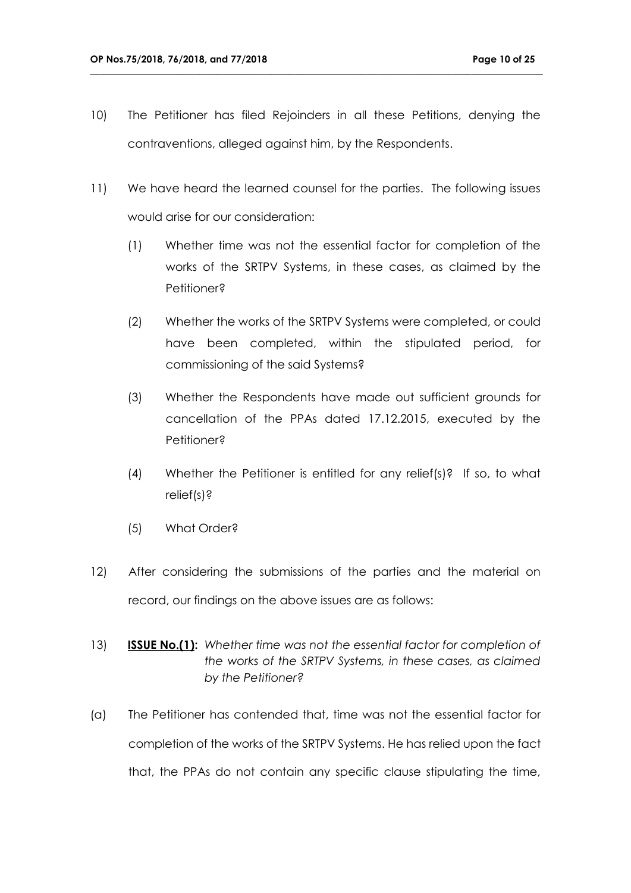10) The Petitioner has filed Rejoinders in all these Petitions, denying the contraventions, alleged against him, by the Respondents.

- 11) We have heard the learned counsel for the parties. The following issues would arise for our consideration:
	- (1) Whether time was not the essential factor for completion of the works of the SRTPV Systems, in these cases, as claimed by the Petitioner?
	- (2) Whether the works of the SRTPV Systems were completed, or could have been completed, within the stipulated period, for commissioning of the said Systems?
	- (3) Whether the Respondents have made out sufficient grounds for cancellation of the PPAs dated 17.12.2015, executed by the Petitioner?
	- (4) Whether the Petitioner is entitled for any relief(s)? If so, to what relief(s)?
	- (5) What Order?
- 12) After considering the submissions of the parties and the material on record, our findings on the above issues are as follows:
- 13) **ISSUE No.(1):** *Whether time was not the essential factor for completion of the works of the SRTPV Systems, in these cases, as claimed by the Petitioner?*
- (a) The Petitioner has contended that, time was not the essential factor for completion of the works of the SRTPV Systems. He has relied upon the fact that, the PPAs do not contain any specific clause stipulating the time,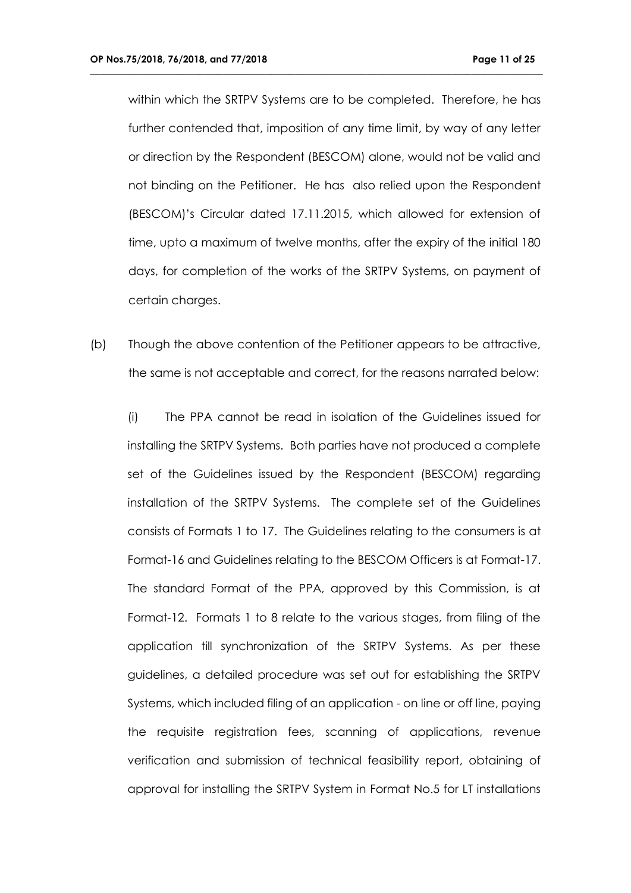within which the SRTPV Systems are to be completed. Therefore, he has further contended that, imposition of any time limit, by way of any letter or direction by the Respondent (BESCOM) alone, would not be valid and not binding on the Petitioner. He has also relied upon the Respondent (BESCOM)'s Circular dated 17.11.2015, which allowed for extension of time, upto a maximum of twelve months, after the expiry of the initial 180 days, for completion of the works of the SRTPV Systems, on payment of certain charges.

**\_\_\_\_\_\_\_\_\_\_\_\_\_\_\_\_\_\_\_\_\_\_\_\_\_\_\_\_\_\_\_\_\_\_\_\_\_\_\_\_\_\_\_\_\_\_\_\_\_\_\_\_\_\_\_\_\_\_\_\_\_\_\_\_\_\_\_\_\_\_\_\_\_\_\_\_\_\_\_\_\_\_\_\_\_\_\_\_\_\_\_\_\_\_\_**

(b) Though the above contention of the Petitioner appears to be attractive, the same is not acceptable and correct, for the reasons narrated below:

(i) The PPA cannot be read in isolation of the Guidelines issued for installing the SRTPV Systems. Both parties have not produced a complete set of the Guidelines issued by the Respondent (BESCOM) regarding installation of the SRTPV Systems. The complete set of the Guidelines consists of Formats 1 to 17. The Guidelines relating to the consumers is at Format-16 and Guidelines relating to the BESCOM Officers is at Format-17. The standard Format of the PPA, approved by this Commission, is at Format-12. Formats 1 to 8 relate to the various stages, from filing of the application till synchronization of the SRTPV Systems. As per these guidelines, a detailed procedure was set out for establishing the SRTPV Systems, which included filing of an application - on line or off line, paying the requisite registration fees, scanning of applications, revenue verification and submission of technical feasibility report, obtaining of approval for installing the SRTPV System in Format No.5 for LT installations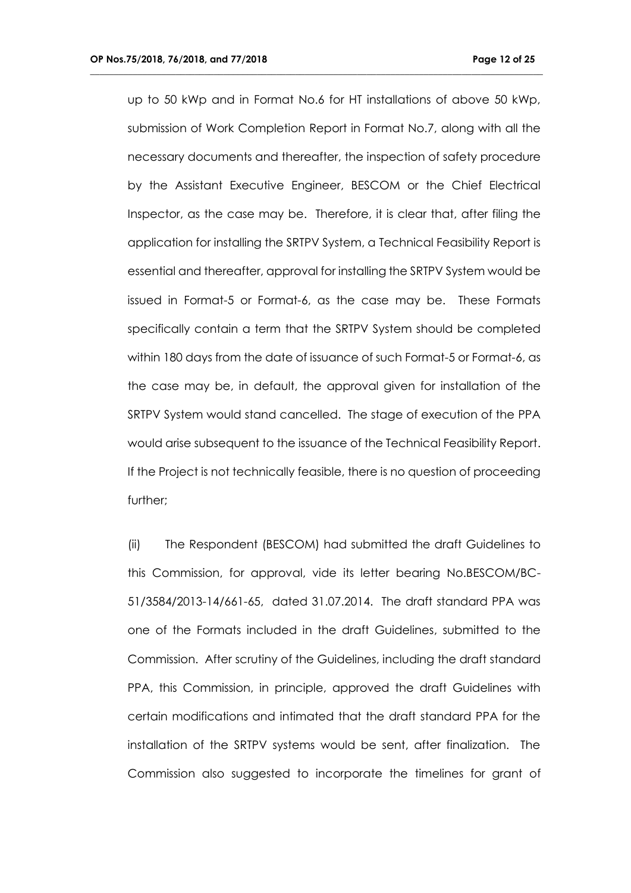up to 50 kWp and in Format No.6 for HT installations of above 50 kWp, submission of Work Completion Report in Format No.7, along with all the necessary documents and thereafter, the inspection of safety procedure by the Assistant Executive Engineer, BESCOM or the Chief Electrical Inspector, as the case may be. Therefore, it is clear that, after filing the application for installing the SRTPV System, a Technical Feasibility Report is essential and thereafter, approval for installing the SRTPV System would be issued in Format-5 or Format-6, as the case may be. These Formats specifically contain a term that the SRTPV System should be completed within 180 days from the date of issuance of such Format-5 or Format-6, as the case may be, in default, the approval given for installation of the SRTPV System would stand cancelled. The stage of execution of the PPA would arise subsequent to the issuance of the Technical Feasibility Report. If the Project is not technically feasible, there is no question of proceeding further;

**\_\_\_\_\_\_\_\_\_\_\_\_\_\_\_\_\_\_\_\_\_\_\_\_\_\_\_\_\_\_\_\_\_\_\_\_\_\_\_\_\_\_\_\_\_\_\_\_\_\_\_\_\_\_\_\_\_\_\_\_\_\_\_\_\_\_\_\_\_\_\_\_\_\_\_\_\_\_\_\_\_\_\_\_\_\_\_\_\_\_\_\_\_\_\_**

(ii) The Respondent (BESCOM) had submitted the draft Guidelines to this Commission, for approval, vide its letter bearing No.BESCOM/BC-51/3584/2013-14/661-65, dated 31.07.2014. The draft standard PPA was one of the Formats included in the draft Guidelines, submitted to the Commission. After scrutiny of the Guidelines, including the draft standard PPA, this Commission, in principle, approved the draft Guidelines with certain modifications and intimated that the draft standard PPA for the installation of the SRTPV systems would be sent, after finalization. The Commission also suggested to incorporate the timelines for grant of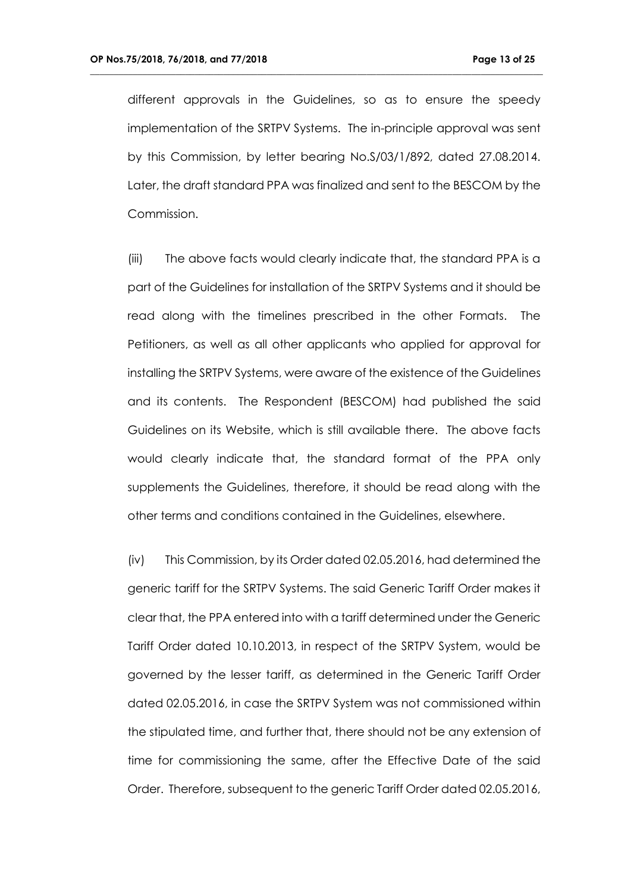different approvals in the Guidelines, so as to ensure the speedy implementation of the SRTPV Systems. The in-principle approval was sent by this Commission, by letter bearing No.S/03/1/892, dated 27.08.2014. Later, the draft standard PPA was finalized and sent to the BESCOM by the Commission.

**\_\_\_\_\_\_\_\_\_\_\_\_\_\_\_\_\_\_\_\_\_\_\_\_\_\_\_\_\_\_\_\_\_\_\_\_\_\_\_\_\_\_\_\_\_\_\_\_\_\_\_\_\_\_\_\_\_\_\_\_\_\_\_\_\_\_\_\_\_\_\_\_\_\_\_\_\_\_\_\_\_\_\_\_\_\_\_\_\_\_\_\_\_\_\_**

(iii) The above facts would clearly indicate that, the standard PPA is a part of the Guidelines for installation of the SRTPV Systems and it should be read along with the timelines prescribed in the other Formats. The Petitioners, as well as all other applicants who applied for approval for installing the SRTPV Systems, were aware of the existence of the Guidelines and its contents. The Respondent (BESCOM) had published the said Guidelines on its Website, which is still available there. The above facts would clearly indicate that, the standard format of the PPA only supplements the Guidelines, therefore, it should be read along with the other terms and conditions contained in the Guidelines, elsewhere.

(iv) This Commission, by its Order dated 02.05.2016, had determined the generic tariff for the SRTPV Systems. The said Generic Tariff Order makes it clear that, the PPA entered into with a tariff determined under the Generic Tariff Order dated 10.10.2013, in respect of the SRTPV System, would be governed by the lesser tariff, as determined in the Generic Tariff Order dated 02.05.2016, in case the SRTPV System was not commissioned within the stipulated time, and further that, there should not be any extension of time for commissioning the same, after the Effective Date of the said Order. Therefore, subsequent to the generic Tariff Order dated 02.05.2016,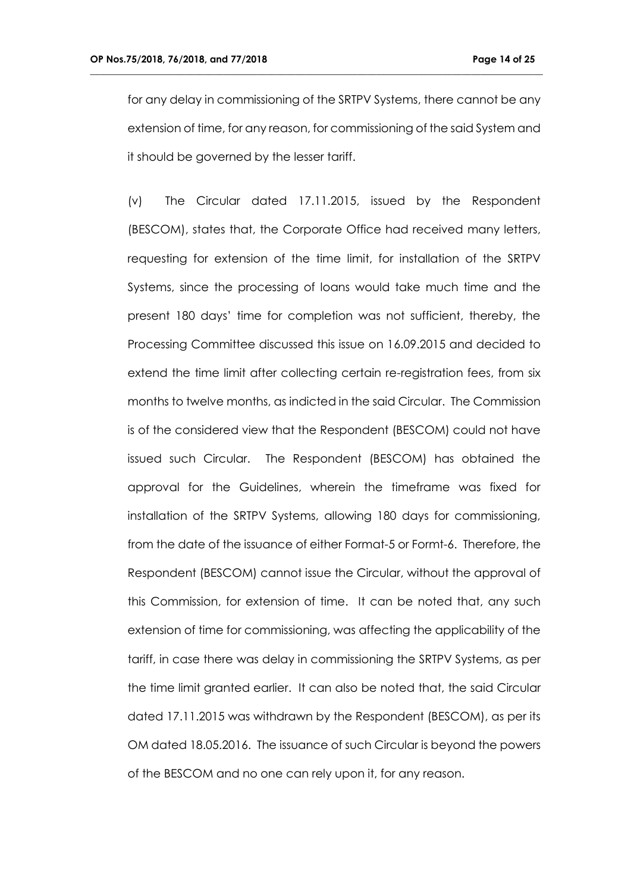for any delay in commissioning of the SRTPV Systems, there cannot be any extension of time, for any reason, for commissioning of the said System and it should be governed by the lesser tariff.

**\_\_\_\_\_\_\_\_\_\_\_\_\_\_\_\_\_\_\_\_\_\_\_\_\_\_\_\_\_\_\_\_\_\_\_\_\_\_\_\_\_\_\_\_\_\_\_\_\_\_\_\_\_\_\_\_\_\_\_\_\_\_\_\_\_\_\_\_\_\_\_\_\_\_\_\_\_\_\_\_\_\_\_\_\_\_\_\_\_\_\_\_\_\_\_**

(v) The Circular dated 17.11.2015, issued by the Respondent (BESCOM), states that, the Corporate Office had received many letters, requesting for extension of the time limit, for installation of the SRTPV Systems, since the processing of loans would take much time and the present 180 days' time for completion was not sufficient, thereby, the Processing Committee discussed this issue on 16.09.2015 and decided to extend the time limit after collecting certain re-registration fees, from six months to twelve months, as indicted in the said Circular. The Commission is of the considered view that the Respondent (BESCOM) could not have issued such Circular. The Respondent (BESCOM) has obtained the approval for the Guidelines, wherein the timeframe was fixed for installation of the SRTPV Systems, allowing 180 days for commissioning, from the date of the issuance of either Format-5 or Formt-6. Therefore, the Respondent (BESCOM) cannot issue the Circular, without the approval of this Commission, for extension of time. It can be noted that, any such extension of time for commissioning, was affecting the applicability of the tariff, in case there was delay in commissioning the SRTPV Systems, as per the time limit granted earlier. It can also be noted that, the said Circular dated 17.11.2015 was withdrawn by the Respondent (BESCOM), as per its OM dated 18.05.2016. The issuance of such Circular is beyond the powers of the BESCOM and no one can rely upon it, for any reason.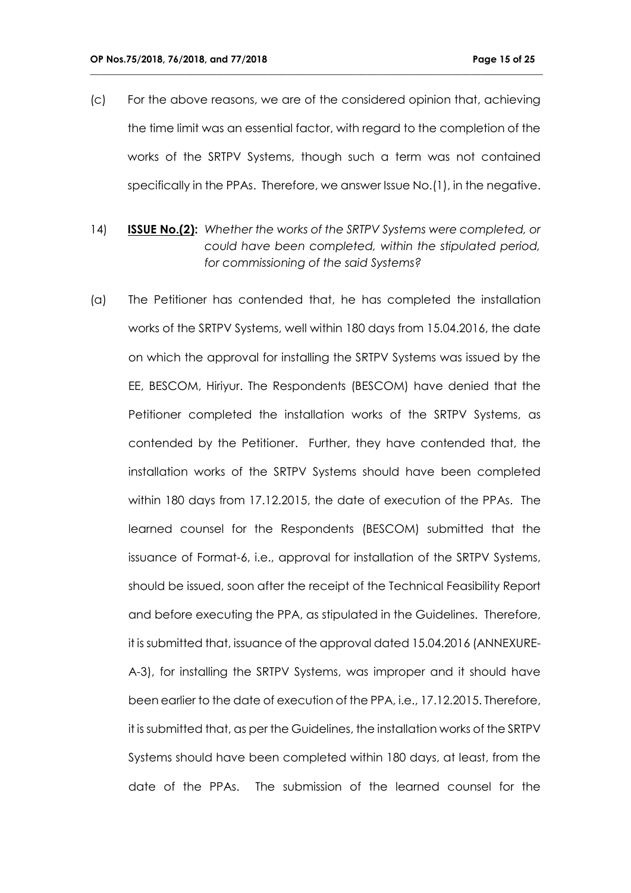(c) For the above reasons, we are of the considered opinion that, achieving the time limit was an essential factor, with regard to the completion of the works of the SRTPV Systems, though such a term was not contained specifically in the PPAs. Therefore, we answer Issue No.(1), in the negative.

- 14) **ISSUE No.(2):** *Whether the works of the SRTPV Systems were completed, or could have been completed, within the stipulated period, for commissioning of the said Systems?*
- (a) The Petitioner has contended that, he has completed the installation works of the SRTPV Systems, well within 180 days from 15.04.2016, the date on which the approval for installing the SRTPV Systems was issued by the EE, BESCOM, Hiriyur. The Respondents (BESCOM) have denied that the Petitioner completed the installation works of the SRTPV Systems, as contended by the Petitioner. Further, they have contended that, the installation works of the SRTPV Systems should have been completed within 180 days from 17.12.2015, the date of execution of the PPAs. The learned counsel for the Respondents (BESCOM) submitted that the issuance of Format-6, i.e., approval for installation of the SRTPV Systems, should be issued, soon after the receipt of the Technical Feasibility Report and before executing the PPA, as stipulated in the Guidelines. Therefore, it is submitted that, issuance of the approval dated 15.04.2016 (ANNEXURE-A-3), for installing the SRTPV Systems, was improper and it should have been earlier to the date of execution of the PPA, i.e., 17.12.2015. Therefore, it is submitted that, as per the Guidelines, the installation works of the SRTPV Systems should have been completed within 180 days, at least, from the date of the PPAs. The submission of the learned counsel for the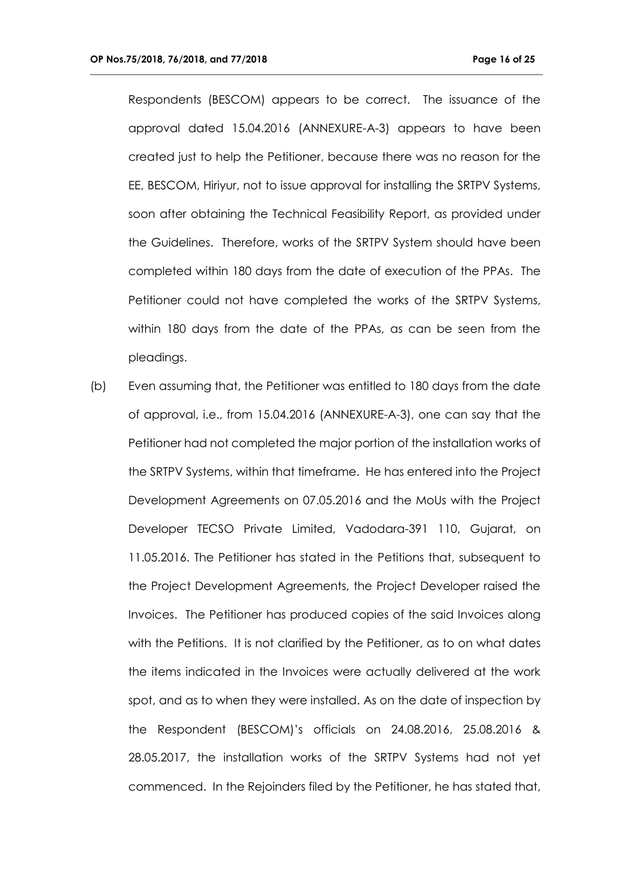Respondents (BESCOM) appears to be correct. The issuance of the approval dated 15.04.2016 (ANNEXURE-A-3) appears to have been created just to help the Petitioner, because there was no reason for the EE, BESCOM, Hiriyur, not to issue approval for installing the SRTPV Systems, soon after obtaining the Technical Feasibility Report, as provided under the Guidelines. Therefore, works of the SRTPV System should have been completed within 180 days from the date of execution of the PPAs. The Petitioner could not have completed the works of the SRTPV Systems, within 180 days from the date of the PPAs, as can be seen from the pleadings.

**\_\_\_\_\_\_\_\_\_\_\_\_\_\_\_\_\_\_\_\_\_\_\_\_\_\_\_\_\_\_\_\_\_\_\_\_\_\_\_\_\_\_\_\_\_\_\_\_\_\_\_\_\_\_\_\_\_\_\_\_\_\_\_\_\_\_\_\_\_\_\_\_\_\_\_\_\_\_\_\_\_\_\_\_\_\_\_\_\_\_\_\_\_\_\_**

(b) Even assuming that, the Petitioner was entitled to 180 days from the date of approval, i.e., from 15.04.2016 (ANNEXURE-A-3), one can say that the Petitioner had not completed the major portion of the installation works of the SRTPV Systems, within that timeframe. He has entered into the Project Development Agreements on 07.05.2016 and the MoUs with the Project Developer TECSO Private Limited, Vadodara-391 110, Gujarat, on 11.05.2016. The Petitioner has stated in the Petitions that, subsequent to the Project Development Agreements, the Project Developer raised the Invoices. The Petitioner has produced copies of the said Invoices along with the Petitions. It is not clarified by the Petitioner, as to on what dates the items indicated in the Invoices were actually delivered at the work spot, and as to when they were installed. As on the date of inspection by the Respondent (BESCOM)'s officials on 24.08.2016, 25.08.2016 & 28.05.2017, the installation works of the SRTPV Systems had not yet commenced. In the Rejoinders filed by the Petitioner, he has stated that,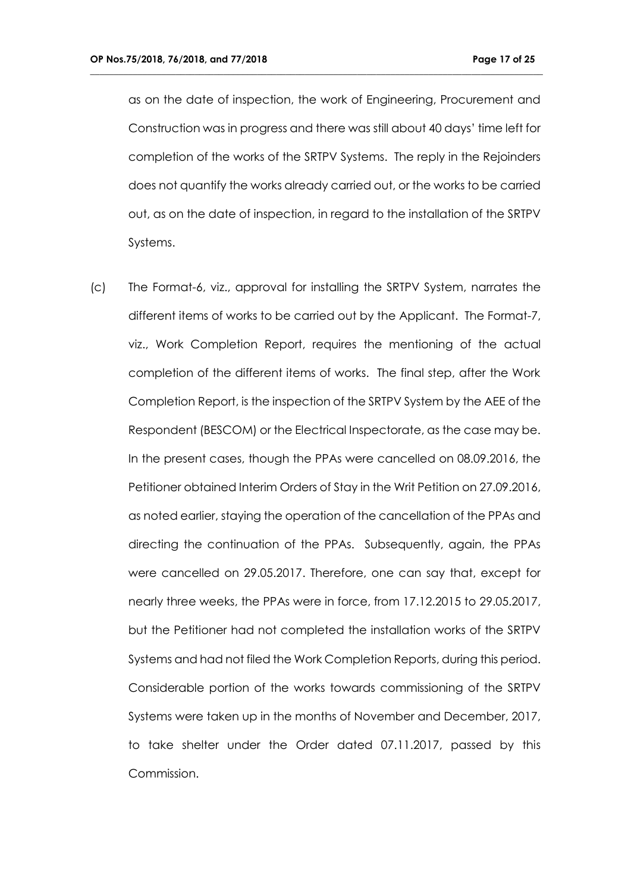as on the date of inspection, the work of Engineering, Procurement and Construction was in progress and there was still about 40 days' time left for completion of the works of the SRTPV Systems. The reply in the Rejoinders does not quantify the works already carried out, or the works to be carried out, as on the date of inspection, in regard to the installation of the SRTPV Systems.

**\_\_\_\_\_\_\_\_\_\_\_\_\_\_\_\_\_\_\_\_\_\_\_\_\_\_\_\_\_\_\_\_\_\_\_\_\_\_\_\_\_\_\_\_\_\_\_\_\_\_\_\_\_\_\_\_\_\_\_\_\_\_\_\_\_\_\_\_\_\_\_\_\_\_\_\_\_\_\_\_\_\_\_\_\_\_\_\_\_\_\_\_\_\_\_**

(c) The Format-6, viz., approval for installing the SRTPV System, narrates the different items of works to be carried out by the Applicant. The Format-7, viz., Work Completion Report, requires the mentioning of the actual completion of the different items of works. The final step, after the Work Completion Report, is the inspection of the SRTPV System by the AEE of the Respondent (BESCOM) or the Electrical Inspectorate, as the case may be. In the present cases, though the PPAs were cancelled on 08.09.2016, the Petitioner obtained Interim Orders of Stay in the Writ Petition on 27.09.2016, as noted earlier, staying the operation of the cancellation of the PPAs and directing the continuation of the PPAs. Subsequently, again, the PPAs were cancelled on 29.05.2017. Therefore, one can say that, except for nearly three weeks, the PPAs were in force, from 17.12.2015 to 29.05.2017, but the Petitioner had not completed the installation works of the SRTPV Systems and had not filed the Work Completion Reports, during this period. Considerable portion of the works towards commissioning of the SRTPV Systems were taken up in the months of November and December, 2017, to take shelter under the Order dated 07.11.2017, passed by this Commission.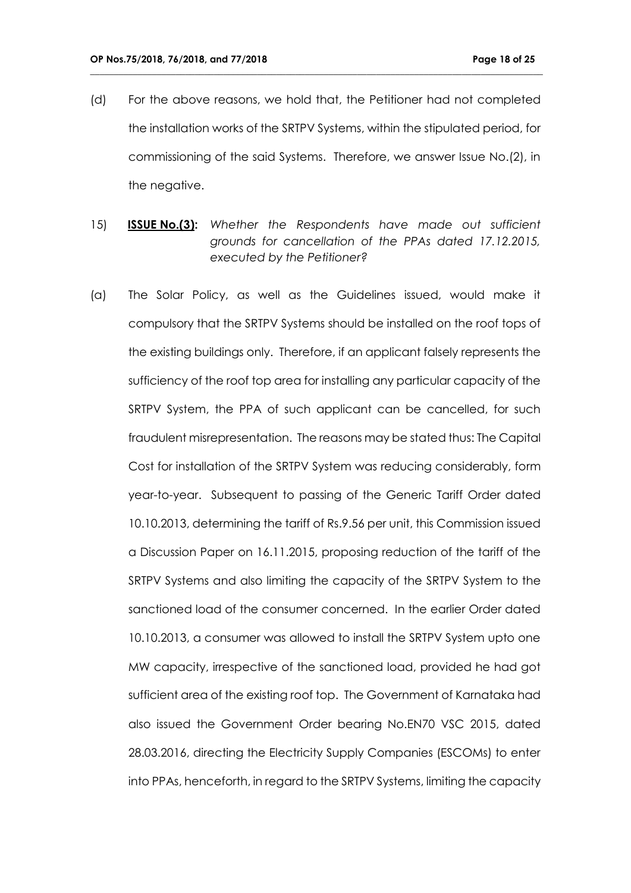(d) For the above reasons, we hold that, the Petitioner had not completed the installation works of the SRTPV Systems, within the stipulated period, for commissioning of the said Systems. Therefore, we answer Issue No.(2), in the negative.

- 15) **ISSUE No.(3):** *Whether the Respondents have made out sufficient grounds for cancellation of the PPAs dated 17.12.2015, executed by the Petitioner?*
- (a) The Solar Policy, as well as the Guidelines issued, would make it compulsory that the SRTPV Systems should be installed on the roof tops of the existing buildings only. Therefore, if an applicant falsely represents the sufficiency of the roof top area for installing any particular capacity of the SRTPV System, the PPA of such applicant can be cancelled, for such fraudulent misrepresentation. The reasons may be stated thus: The Capital Cost for installation of the SRTPV System was reducing considerably, form year-to-year. Subsequent to passing of the Generic Tariff Order dated 10.10.2013, determining the tariff of Rs.9.56 per unit, this Commission issued a Discussion Paper on 16.11.2015, proposing reduction of the tariff of the SRTPV Systems and also limiting the capacity of the SRTPV System to the sanctioned load of the consumer concerned. In the earlier Order dated 10.10.2013, a consumer was allowed to install the SRTPV System upto one MW capacity, irrespective of the sanctioned load, provided he had got sufficient area of the existing roof top. The Government of Karnataka had also issued the Government Order bearing No.EN70 VSC 2015, dated 28.03.2016, directing the Electricity Supply Companies (ESCOMs) to enter into PPAs, henceforth, in regard to the SRTPV Systems, limiting the capacity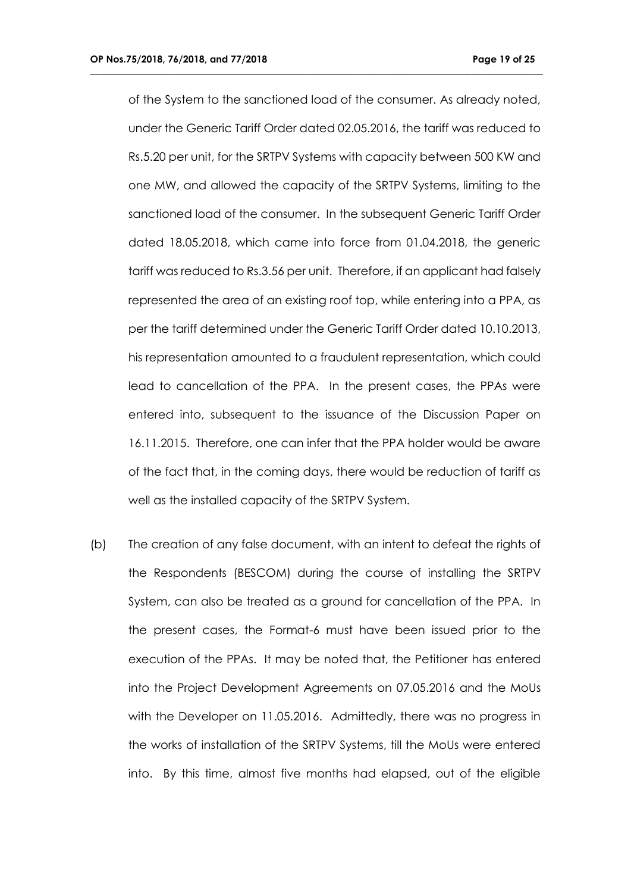of the System to the sanctioned load of the consumer. As already noted, under the Generic Tariff Order dated 02.05.2016, the tariff was reduced to Rs.5.20 per unit, for the SRTPV Systems with capacity between 500 KW and one MW, and allowed the capacity of the SRTPV Systems, limiting to the sanctioned load of the consumer. In the subsequent Generic Tariff Order dated 18.05.2018, which came into force from 01.04.2018, the generic tariff was reduced to Rs.3.56 per unit. Therefore, if an applicant had falsely represented the area of an existing roof top, while entering into a PPA, as per the tariff determined under the Generic Tariff Order dated 10.10.2013, his representation amounted to a fraudulent representation, which could lead to cancellation of the PPA. In the present cases, the PPAs were entered into, subsequent to the issuance of the Discussion Paper on 16.11.2015. Therefore, one can infer that the PPA holder would be aware of the fact that, in the coming days, there would be reduction of tariff as well as the installed capacity of the SRTPV System.

**\_\_\_\_\_\_\_\_\_\_\_\_\_\_\_\_\_\_\_\_\_\_\_\_\_\_\_\_\_\_\_\_\_\_\_\_\_\_\_\_\_\_\_\_\_\_\_\_\_\_\_\_\_\_\_\_\_\_\_\_\_\_\_\_\_\_\_\_\_\_\_\_\_\_\_\_\_\_\_\_\_\_\_\_\_\_\_\_\_\_\_\_\_\_\_**

(b) The creation of any false document, with an intent to defeat the rights of the Respondents (BESCOM) during the course of installing the SRTPV System, can also be treated as a ground for cancellation of the PPA. In the present cases, the Format-6 must have been issued prior to the execution of the PPAs. It may be noted that, the Petitioner has entered into the Project Development Agreements on 07.05.2016 and the MoUs with the Developer on 11.05.2016. Admittedly, there was no progress in the works of installation of the SRTPV Systems, till the MoUs were entered into. By this time, almost five months had elapsed, out of the eligible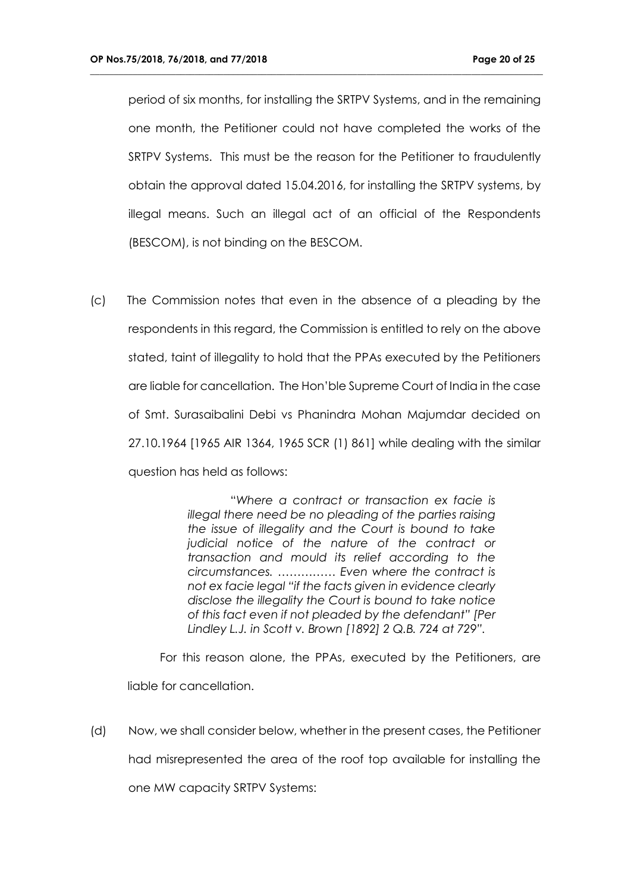period of six months, for installing the SRTPV Systems, and in the remaining one month, the Petitioner could not have completed the works of the SRTPV Systems. This must be the reason for the Petitioner to fraudulently obtain the approval dated 15.04.2016, for installing the SRTPV systems, by illegal means. Such an illegal act of an official of the Respondents (BESCOM), is not binding on the BESCOM.

**\_\_\_\_\_\_\_\_\_\_\_\_\_\_\_\_\_\_\_\_\_\_\_\_\_\_\_\_\_\_\_\_\_\_\_\_\_\_\_\_\_\_\_\_\_\_\_\_\_\_\_\_\_\_\_\_\_\_\_\_\_\_\_\_\_\_\_\_\_\_\_\_\_\_\_\_\_\_\_\_\_\_\_\_\_\_\_\_\_\_\_\_\_\_\_**

(c) The Commission notes that even in the absence of a pleading by the respondents in this regard, the Commission is entitled to rely on the above stated, taint of illegality to hold that the PPAs executed by the Petitioners are liable for cancellation. The Hon'ble Supreme Court of India in the case of Smt. Surasaibalini Debi vs Phanindra Mohan Majumdar decided on 27.10.1964 [1965 AIR 1364, 1965 SCR (1) 861] while dealing with the similar question has held as follows:

> "*Where a contract or transaction ex facie is illegal there need be no pleading of the parties raising the issue of illegality and the Court is bound to take judicial notice of the nature of the contract or transaction and mould its relief according to the circumstances. …………… Even where the contract is not ex facie legal "if the facts given in evidence clearly disclose the illegality the Court is bound to take notice of this fact even if not pleaded by the defendant" [Per Lindley L.J. in Scott v. Brown [1892] 2 Q.B. 724 at 729".*

 For this reason alone, the PPAs, executed by the Petitioners, are liable for cancellation.

(d) Now, we shall consider below, whether in the present cases, the Petitioner had misrepresented the area of the roof top available for installing the one MW capacity SRTPV Systems: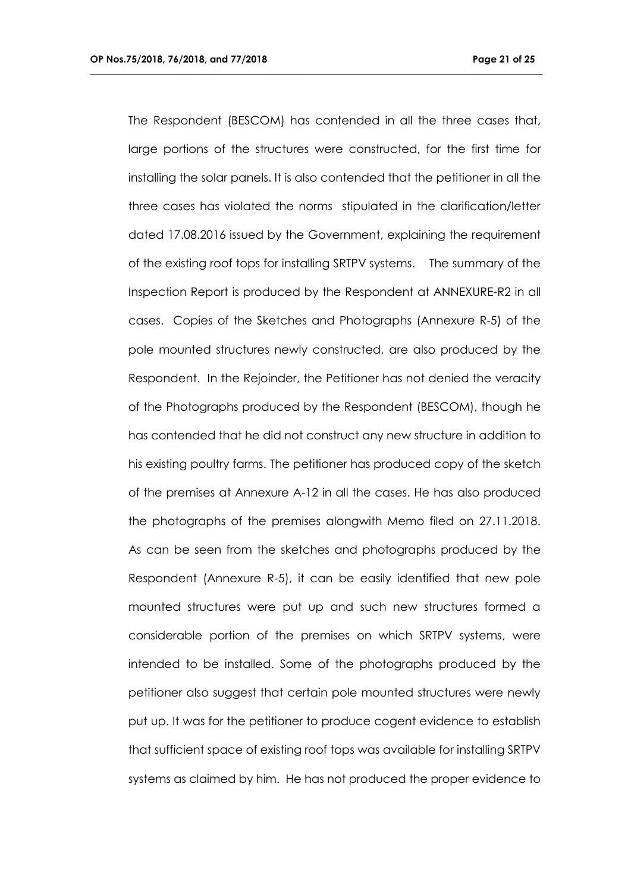The Respondent (BESCOM) has contended in all the three cases that, large portions of the structures were constructed, for the first time for installing the solar panels. It is also contended that the petitioner in all the three cases has violated the norms stipulated in the clarification/letter dated 17.08.2016 issued by the Government, explaining the requirement of the existing roof tops for installing SRTPV systems. The summary of the Inspection Report is produced by the Respondent at ANNEXURE-R2 in all cases. Copies of the Sketches and Photographs (Annexure R-5) of the pole mounted structures newly constructed, are also produced by the Respondent. In the Rejoinder, the Petitioner has not denied the veracity of the Photographs produced by the Respondent (BESCOM), though he has contended that he did not construct any new structure in addition to his existing poultry farms. The petitioner has produced copy of the sketch of the premises at Annexure A-12 in all the cases. He has also produced the photographs of the premises alongwith Memo filed on 27.11.2018. As can be seen from the sketches and photographs produced by the Respondent (Annexure R-5), it can be easily identified that new pole mounted structures were put up and such new structures formed a considerable portion of the premises on which SRTPV systems, were intended to be installed. Some of the photographs produced by the petitioner also suggest that certain pole mounted structures were newly put up. It was for the petitioner to produce cogent evidence to establish that sufficient space of existing roof tops was available for installing SRTPV systems as claimed by him. He has not produced the proper evidence to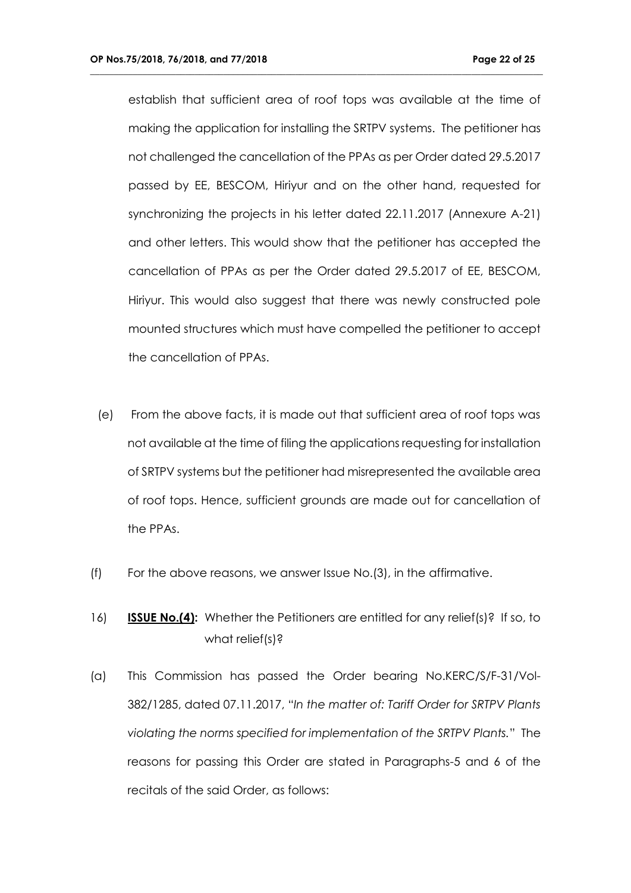establish that sufficient area of roof tops was available at the time of making the application for installing the SRTPV systems. The petitioner has not challenged the cancellation of the PPAs as per Order dated 29.5.2017 passed by EE, BESCOM, Hiriyur and on the other hand, requested for synchronizing the projects in his letter dated 22.11.2017 (Annexure A-21) and other letters. This would show that the petitioner has accepted the cancellation of PPAs as per the Order dated 29.5.2017 of EE, BESCOM, Hiriyur. This would also suggest that there was newly constructed pole mounted structures which must have compelled the petitioner to accept the cancellation of PPAs.

- (e) From the above facts, it is made out that sufficient area of roof tops was not available at the time of filing the applications requesting for installation of SRTPV systems but the petitioner had misrepresented the available area of roof tops. Hence, sufficient grounds are made out for cancellation of the PPAs.
- (f) For the above reasons, we answer Issue No.(3), in the affirmative.
- 16) **ISSUE No.(4):** Whether the Petitioners are entitled for any relief(s)? If so, to what relief(s)?
- (a) This Commission has passed the Order bearing No.KERC/S/F-31/Vol-382/1285, dated 07.11.2017, "*In the matter of: Tariff Order for SRTPV Plants violating the norms specified for implementation of the SRTPV Plants.*" The reasons for passing this Order are stated in Paragraphs-5 and 6 of the recitals of the said Order, as follows: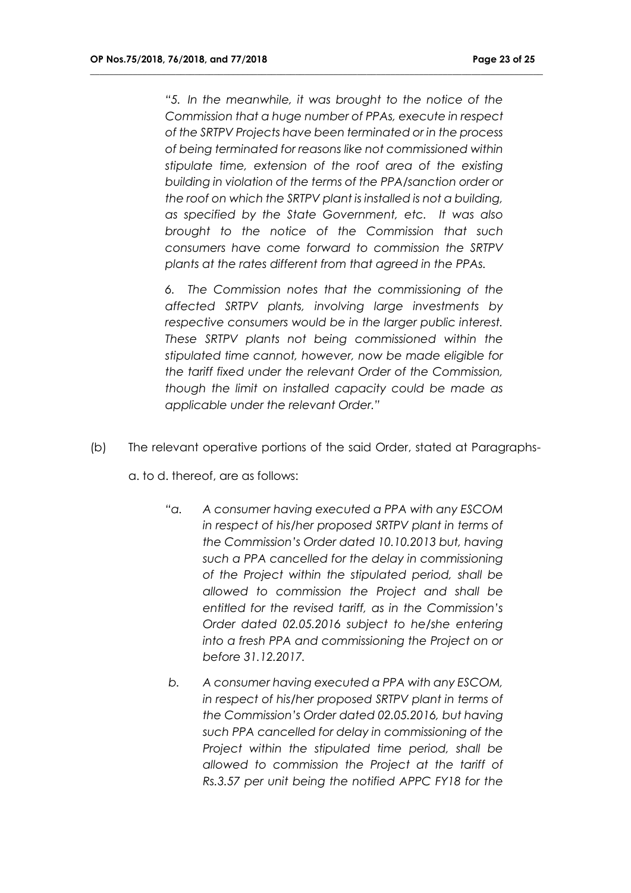*"5. In the meanwhile, it was brought to the notice of the Commission that a huge number of PPAs, execute in respect of the SRTPV Projects have been terminated or in the process of being terminated for reasons like not commissioned within stipulate time, extension of the roof area of the existing building in violation of the terms of the PPA/sanction order or the roof on which the SRTPV plant is installed is not a building, as specified by the State Government, etc. It was also brought to the notice of the Commission that such consumers have come forward to commission the SRTPV plants at the rates different from that agreed in the PPAs.*

**\_\_\_\_\_\_\_\_\_\_\_\_\_\_\_\_\_\_\_\_\_\_\_\_\_\_\_\_\_\_\_\_\_\_\_\_\_\_\_\_\_\_\_\_\_\_\_\_\_\_\_\_\_\_\_\_\_\_\_\_\_\_\_\_\_\_\_\_\_\_\_\_\_\_\_\_\_\_\_\_\_\_\_\_\_\_\_\_\_\_\_\_\_\_\_**

*6. The Commission notes that the commissioning of the affected SRTPV plants, involving large investments by respective consumers would be in the larger public interest. These SRTPV plants not being commissioned within the stipulated time cannot, however, now be made eligible for the tariff fixed under the relevant Order of the Commission, though the limit on installed capacity could be made as applicable under the relevant Order."*

(b) The relevant operative portions of the said Order, stated at Paragraphs-

a. to d. thereof, are as follows:

- *"a. A consumer having executed a PPA with any ESCOM in respect of his/her proposed SRTPV plant in terms of the Commission's Order dated 10.10.2013 but, having such a PPA cancelled for the delay in commissioning of the Project within the stipulated period, shall be allowed to commission the Project and shall be entitled for the revised tariff, as in the Commission's Order dated 02.05.2016 subject to he/she entering into a fresh PPA and commissioning the Project on or before 31.12.2017.*
- *b. A consumer having executed a PPA with any ESCOM, in respect of his/her proposed SRTPV plant in terms of the Commission's Order dated 02.05.2016, but having such PPA cancelled for delay in commissioning of the Project within the stipulated time period, shall be allowed to commission the Project at the tariff of Rs.3.57 per unit being the notified APPC FY18 for the*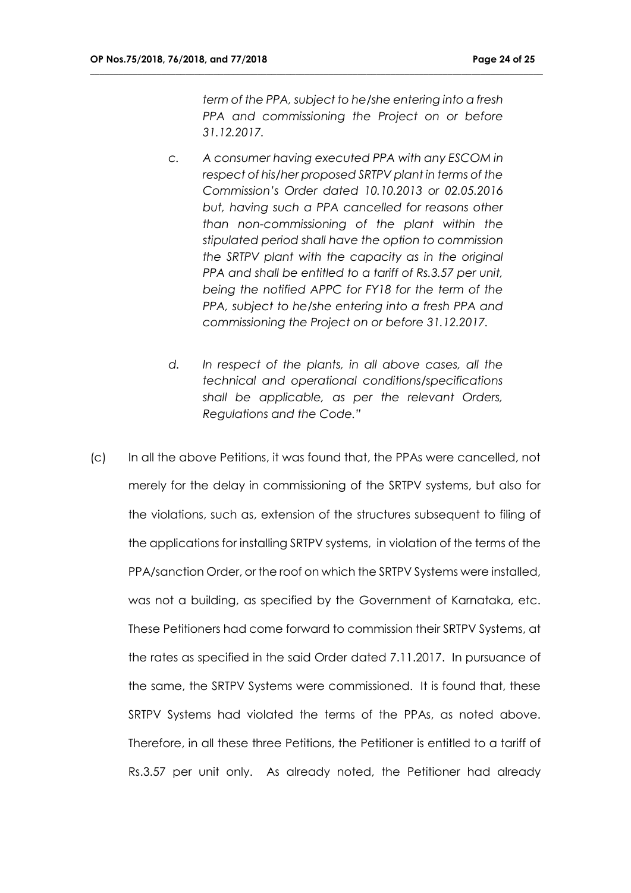*term of the PPA, subject to he/she entering into a fresh PPA and commissioning the Project on or before 31.12.2017.*

- *c. A consumer having executed PPA with any ESCOM in respect of his/her proposed SRTPV plant in terms of the Commission's Order dated 10.10.2013 or 02.05.2016 but, having such a PPA cancelled for reasons other than non-commissioning of the plant within the stipulated period shall have the option to commission the SRTPV plant with the capacity as in the original PPA and shall be entitled to a tariff of Rs.3.57 per unit, being the notified APPC for FY18 for the term of the PPA, subject to he/she entering into a fresh PPA and commissioning the Project on or before 31.12.2017.*
- *d. In respect of the plants, in all above cases, all the technical and operational conditions/specifications shall be applicable, as per the relevant Orders, Regulations and the Code."*
- (c) In all the above Petitions, it was found that, the PPAs were cancelled, not merely for the delay in commissioning of the SRTPV systems, but also for the violations, such as, extension of the structures subsequent to filing of the applications for installing SRTPV systems, in violation of the terms of the PPA/sanction Order, or the roof on which the SRTPV Systems were installed, was not a building, as specified by the Government of Karnataka, etc. These Petitioners had come forward to commission their SRTPV Systems, at the rates as specified in the said Order dated 7.11.2017. In pursuance of the same, the SRTPV Systems were commissioned. It is found that, these SRTPV Systems had violated the terms of the PPAs, as noted above. Therefore, in all these three Petitions, the Petitioner is entitled to a tariff of Rs.3.57 per unit only. As already noted, the Petitioner had already